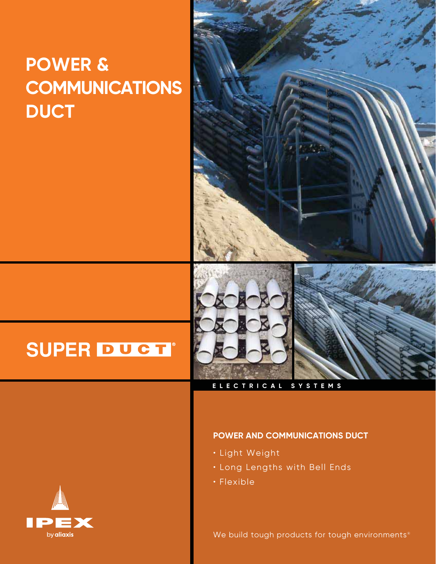# **POWER & COMMUNICATIONS DUCT**



# **SUPER DUCT**®

# **ELECTRICAL SYSTEMS**

# **POWER AND COMMUNICATIONS DUCT**

- Light Weight
- Long Lengths with Bell Ends
- Flexible

We build tough products for tough environments®

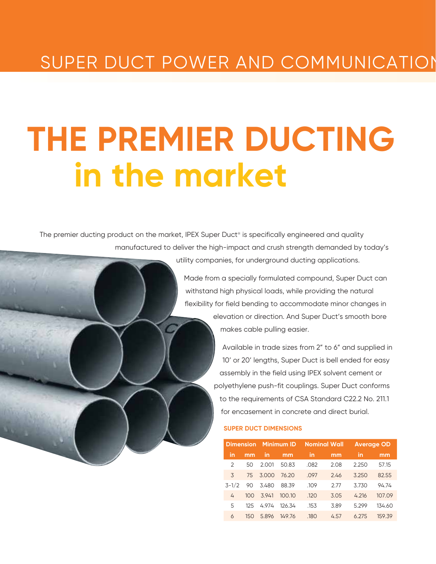# SUPER DUCT POWER AND COMMUNICATION

# **THE PREMIER DUCTING in the market**

The premier ducting product on the market, IPEX Super Duct® is specifically engineered and quality manufactured to deliver the high-impact and crush strength demanded by today's

utility companies, for underground ducting applications.

Made from a specially formulated compound, Super Duct can withstand high physical loads, while providing the natural flexibility for field bending to accommodate minor changes in

> elevation or direction. And Super Duct's smooth bore makes cable pulling easier.

Available in trade sizes from 2" to 6" and supplied in 10' or 20' lengths, Super Duct is bell ended for easy assembly in the field using IPEX solvent cement or polyethylene push-fit couplings. Super Duct conforms to the requirements of CSA Standard C22.2 No. 211.1 for encasement in concrete and direct burial.

#### **SUPER DUCT DIMENSIONS**

| <b>Dimension</b> |     |       | <b>Minimum ID</b> |      | <b>Nominal Wall</b> |       | <b>Average OD</b> |
|------------------|-----|-------|-------------------|------|---------------------|-------|-------------------|
| in               | mm  | in    | mm                | in   | mm                  | in    | mm                |
| $\mathcal{P}$    | 50  | 2.001 | 50.83             | .082 | 2.08                | 2.250 | 57.15             |
| 3                | 75  | 3.000 | 76.20             | .097 | 2.46                | 3.250 | 82.55             |
| $3 - 1/2$        | 90  | 3.480 | 88.39             | .109 | 2.77                | 3.730 | 94.74             |
| 4                | 100 | 3.941 | 100.10            | .120 | 3.05                | 4.216 | 107.09            |
| 5                | 125 | 4974  | 126.34            | .153 | 3.89                | 5.299 | 134.60            |
| 6                | 150 | 5.896 | 149.76            | .180 | 4.57                | 6.275 | 159.39            |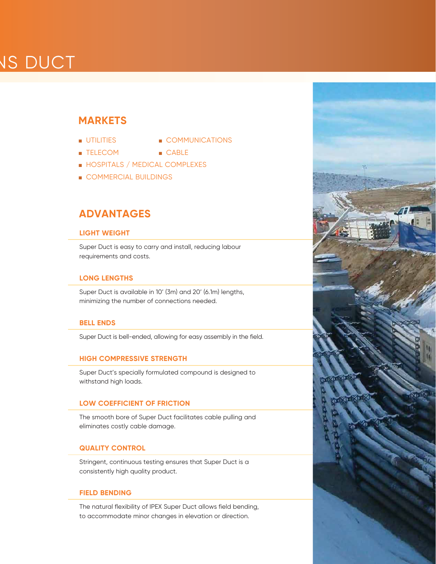# **VS DUCT**

# **MARKETS**

- 
- UTILITIES COMMUNICATIONS
- **TELECOM CABLE**
- HOSPITALS / MEDICAL COMPLEXES
- COMMERCIAL BUILDINGS

# **ADVANTAGES**

# **LIGHT WEIGHT**

Super Duct is easy to carry and install, reducing labour requirements and costs.

# **LONG LENGTHS**

Super Duct is available in 10' (3m) and 20' (6.1m) lengths, minimizing the number of connections needed.

# **BELL ENDS**

Super Duct is bell-ended, allowing for easy assembly in the field.

### **HIGH COMPRESSIVE STRENGTH**

Super Duct's specially formulated compound is designed to withstand high loads.

# **LOW COEFFICIENT OF FRICTION**

The smooth bore of Super Duct facilitates cable pulling and eliminates costly cable damage.

### **QUALITY CONTROL**

Stringent, continuous testing ensures that Super Duct is a consistently high quality product.

### **FIELD BENDING**

The natural flexibility of IPEX Super Duct allows field bending, to accommodate minor changes in elevation or direction.

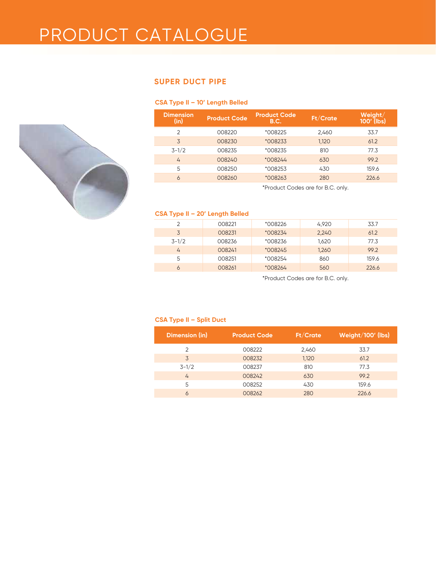# PRODUCT CATALOGUE

# **SUPER DUCT PIPE**

### **CSA Type II – 10' Length Belled**

| <b>Dimension</b><br>(in) | <b>Product Code</b> | <b>Product Code</b><br><b>B.C.</b> | Ft/Crate                               | $W$ eight $/$<br>$100'$ (lbs) |
|--------------------------|---------------------|------------------------------------|----------------------------------------|-------------------------------|
| $\overline{2}$           | 008220              | *008225                            | 2,460                                  | 33.7                          |
| 3                        | 008230              | *008233                            | 1,120                                  | 61.2                          |
| $3 - 1/2$                | 008235              | *008235                            | 810                                    | 77.3                          |
| 4                        | 008240              | *008244                            | 630                                    | 99.2                          |
| 5                        | 008250              | *008253                            | 430                                    | 159.6                         |
| 6                        | 008260              | *008263                            | 280                                    | 226.6                         |
|                          |                     |                                    | * $Drackust$ Cades are for $D$ C apply |                               |

\*Product Codes are for B.C. only.

### **CSA Type II – 20' Length Belled**

| 2         | 008221 | *008226 | 4,920 | 33.7  |
|-----------|--------|---------|-------|-------|
| 3         | 008231 | *008234 | 2,240 | 61.2  |
| $3 - 1/2$ | 008236 | *008236 | 1,620 | 77.3  |
| 4         | 008241 | *008245 | 1,260 | 99.2  |
| 5         | 008251 | *008254 | 860   | 159.6 |
| 6         | 008261 | *008264 | 560   | 226.6 |

\*Product Codes are for B.C. only.

#### **CSA Type II – Split Duct**

| Dimension (in) | <b>Product Code</b> | Ft/Crate | Weight/100' (lbs) |
|----------------|---------------------|----------|-------------------|
| $\mathcal{P}$  | 008222              | 2,460    | 33.7              |
| 3              | 008232              | 1,120    | 61.2              |
| $3 - 1/2$      | 008237              | 810      | 77.3              |
| 4              | 008242              | 630      | 99.2              |
| 5              | 008252              | 430      | 159.6             |
| 6              | 008262              | 280      | 226.6             |

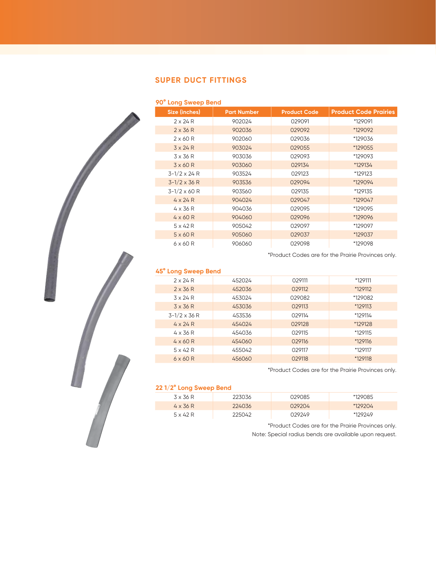# **SUPER DUCT FITTINGS**

### **90° Long Sweep Bend**

| Size (inches)         | <b>Part Number</b> | <b>Product Code</b> | <b>Product Code Prairies</b> |
|-----------------------|--------------------|---------------------|------------------------------|
| $2 \times 24 R$       | 902024             | 029091              | *129091                      |
| $2 \times 36 R$       | 902036             | 029092              | *129092                      |
| $2 \times 60 R$       | 902060             | 029036              | *129036                      |
| $3 \times 24 R$       | 903024             | 029055              | *129055                      |
| 3 x 36 R              | 903036             | 029093              | *129093                      |
| $3 \times 60 R$       | 903060             | 029134              | *129134                      |
| $3 - 1/2 \times 24$ R | 903524             | 029123              | *129123                      |
| $3 - 1/2 \times 36$ R | 903536             | 029094              | *129094                      |
| $3 - 1/2 \times 60 R$ | 903560             | 029135              | *129135                      |
| $4 \times 24 R$       | 904024             | 029047              | *129047                      |
| $4 \times 36 R$       | 904036             | 029095              | *129095                      |
| $4 \times 60 R$       | 904060             | 029096              | *129096                      |
| $5 \times 42 R$       | 905042             | 029097              | *129097                      |
| $5 \times 60 R$       | 905060             | 029037              | *129037                      |
| $6 \times 60$ R       | 906060             | 029098              | *129098                      |

\*Product Codes are for the Prairie Provinces only.

### **45° Long Sweep Bend**

| $2 \times 24 R$       | 452024 | 029111 | *129111 |
|-----------------------|--------|--------|---------|
| $2 \times 36 R$       | 452036 | 029112 | *129112 |
| $3 \times 24$ R       | 453024 | 029082 | *129082 |
| $3 \times 36 R$       | 453036 | 029113 | *129113 |
| $3 - 1/2 \times 36 R$ | 453536 | 029114 | *129114 |
| $4 \times 24 R$       | 454024 | 029128 | *129128 |
| $4 \times 36 R$       | 454036 | 029115 | *129115 |
| $4 \times 60 R$       | 454060 | 029116 | *129116 |
| $5 \times 42 R$       | 455042 | 029117 | *129117 |
| $6 \times 60$ R       | 456060 | 029118 | *129118 |

\*Product Codes are for the Prairie Provinces only.

#### **22 1/2° Long Sweep Bend**

| $3 \times 36$ R | 223036 | 029085 | *129085 |
|-----------------|--------|--------|---------|
| $4 \times 36 R$ | 224036 | 029204 | *129204 |
| $5 \times 42 R$ | 225042 | 029249 | *129249 |

\*Product Codes are for the Prairie Provinces only. Note: Special radius bends are available upon request.

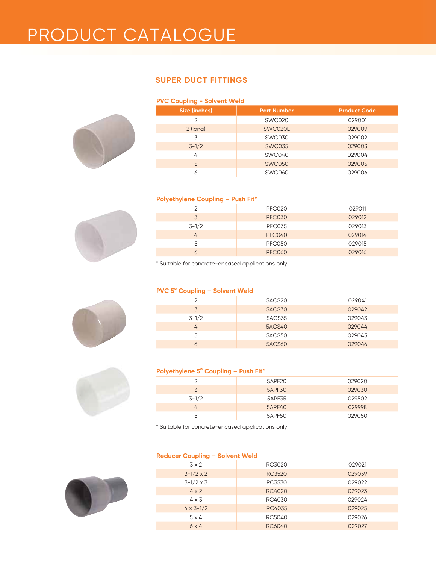# PRODUCT CATALOGUE

# **SUPER DUCT FITTINGS**

# **PVC Coupling - Solvent Weld**



| Size (inches)  | <b>Part Number</b> | <b>Product Code</b> |
|----------------|--------------------|---------------------|
| $\overline{2}$ | <b>SWC020</b>      | 029001              |
| $2$ (long)     | SWC020L            | 029009              |
| 3              | SWC030             | 029002              |
| $3 - 1/2$      | <b>SWC035</b>      | 029003              |
| 4              | SWC040             | 029004              |
| 5              | <b>SWC050</b>      | 029005              |
| 6              | <b>SWC060</b>      | 029006              |

#### **Polyethylene Coupling – Push Fit\***



| $1.11$ and $1.11$ and $1.11$ and $1.11$ and $1.11$ and $1.11$ and $1.11$ and $1.11$ and $1.11$ and $1.11$ and $1.11$ and $1.11$ and $1.11$ and $1.11$ and $1.11$ and $1.11$ and $1.11$ and $1.11$ and $1.11$ and $1.11$ and |               |        |  |  |  |
|-----------------------------------------------------------------------------------------------------------------------------------------------------------------------------------------------------------------------------|---------------|--------|--|--|--|
|                                                                                                                                                                                                                             | PFC020        | 029011 |  |  |  |
| 3                                                                                                                                                                                                                           | <b>PFC030</b> | 029012 |  |  |  |
| $3 - 1/2$                                                                                                                                                                                                                   | <b>PFC035</b> | 029013 |  |  |  |
| 4                                                                                                                                                                                                                           | <b>PFC040</b> | 029014 |  |  |  |
| 5                                                                                                                                                                                                                           | PFC050        | 029015 |  |  |  |
|                                                                                                                                                                                                                             | <b>PFC060</b> | 029016 |  |  |  |

\* Suitable for concrete-encased applications only

#### **PVC 5° Coupling – Solvent Weld**

|           | 5ACS20        | 029041 |
|-----------|---------------|--------|
| 3         | <b>5ACS30</b> | 029042 |
| $3 - 1/2$ | <b>5ACS35</b> | 029043 |
| 4         | <b>5ACS40</b> | 029044 |
|           | 5ACS50        | 029045 |
|           | <b>5ACS60</b> | 029046 |

#### **Polyethylene 5° Coupling – Push Fit\***

|           | SAPF20 | 029020 |
|-----------|--------|--------|
| 3         | 5APF30 | 029030 |
| $3 - 1/2$ | 5APF35 | 029502 |
| 4         | 5APF40 | 029998 |
| 5         | 5APF50 | 029050 |

\* Suitable for concrete-encased applications only

### **Reducer Coupling – Solvent Weld**

| $3 \times 2$       | RC3020        | 029021 |
|--------------------|---------------|--------|
| $3 - 1/2 \times 2$ | <b>RC3520</b> | 029039 |
| $3 - 1/2 \times 3$ | RC3530        | 029022 |
| $4 \times 2$       | RC4020        | 029023 |
| $4 \times 3$       | RC4030        | 029024 |
| $4 \times 3 - 1/2$ | RC4035        | 029025 |
| $5 \times 4$       | RC5040        | 029026 |
| 6x4                | RC6040        | 029027 |
|                    |               |        |



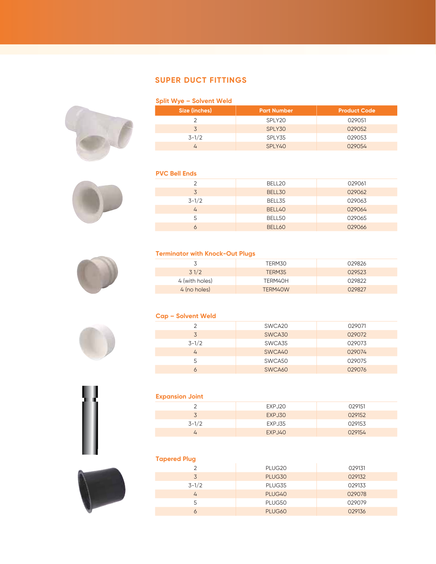# **SUPER DUCT FITTINGS**

#### **Split Wye – Solvent Weld**



#### **PVC Bell Ends**





#### **Terminator with Knock-Out Plugs**

|                | TERM30  | 029826 |
|----------------|---------|--------|
| 31/2           | TERM35  | 029523 |
| 4 (with holes) | TERM40H | 029822 |
| 4 (no holes)   | TERM40W | 029827 |

#### **Cap – Solvent Weld**

|           | SWCA <sub>20</sub> | 029071 |
|-----------|--------------------|--------|
| 3         | SWCA30             | 029072 |
| $3 - 1/2$ | SWCA35             | 029073 |
|           | SWCA40             | 029074 |
|           | SWCA50             | 029075 |
|           | SWCA60             | 029076 |



#### **Expansion Joint**

| __        |        |        |
|-----------|--------|--------|
|           | EXPJ20 | 029151 |
| $\sim$    | EXPJ30 | 029152 |
| $3 - 1/2$ | EXPJ35 | 029153 |
|           | EXPJ40 | 029154 |

### **Tapered Plug**



| --------------- |                    |        |
|-----------------|--------------------|--------|
|                 | PLUG <sub>20</sub> | 029131 |
| 3               | PLUG30             | 029132 |
| $3 - 1/2$       | PLUG35             | 029133 |
| 4               | PLUG40             | 029078 |
| 5               | PLUG50             | 029079 |
| 6               | PLUG60             | 029136 |
|                 |                    |        |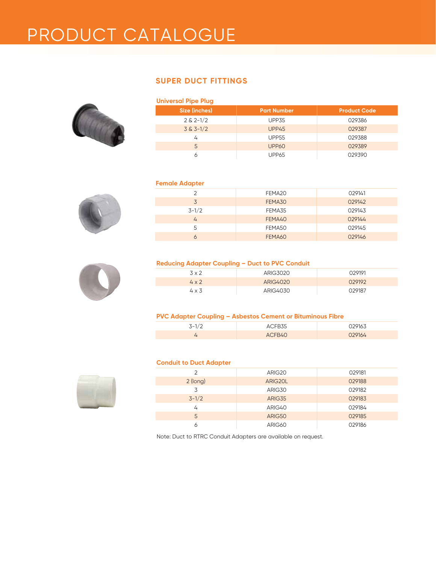# PRODUCT CATALOGUE

# **SUPER DUCT FITTINGS**



| <b>Universal Pipe Plug</b> |                    |                     |  |  |  |  |
|----------------------------|--------------------|---------------------|--|--|--|--|
| Size (inches)              | <b>Part Number</b> | <b>Product Code</b> |  |  |  |  |
| $2 & 2 - 1/2$              | UPP35              | 029386              |  |  |  |  |
| $3 & 3 - 1/2$              | UPP45              | 029387              |  |  |  |  |
| 4                          | <b>UPP55</b>       | 029388              |  |  |  |  |
| 5                          | UPP60              | 029389              |  |  |  |  |
| Α                          | UPP65              | 029390              |  |  |  |  |

#### **Female Adapter**



| .             |        |        |
|---------------|--------|--------|
| $\mathcal{P}$ | FEMA20 | 029141 |
| 3             | FEMA30 | 029142 |
| $3 - 1/2$     | FEMA35 | 029143 |
| 4             | FEMA40 | 029144 |
| 5             | FEMA50 | 029145 |
| 6             | FEMA60 | 029146 |
|               |        |        |



#### **Reducing Adapter Coupling – Duct to PVC Conduit**

| 3 x 2        | ARIG3020 | 029191 |
|--------------|----------|--------|
| $4 \times 2$ | ARIG4020 | 029192 |
| $4 \times 3$ | ARIG4030 | 029187 |

#### **PVC Adapter Coupling – Asbestos Cement or Bituminous Fibre**

| s = 1 | ----            | 120163 |
|-------|-----------------|--------|
|       | $\Lambda$ CERAC |        |

# **Conduit to Duct Adapte**



| Conduit to Duct Addpter |         |        |  |  |  |  |
|-------------------------|---------|--------|--|--|--|--|
| $\mathcal{P}$           | ARIG20  | 029181 |  |  |  |  |
| $2$ (long)              | ARIG20L | 029188 |  |  |  |  |
| 3                       | ARIG30  | 029182 |  |  |  |  |
| $3 - 1/2$               | ARIG35  | 029183 |  |  |  |  |
| 4                       | ARIG40  | 029184 |  |  |  |  |
| 5                       | ARIG50  | 029185 |  |  |  |  |
| 6                       | ARIG60  | 029186 |  |  |  |  |

Note: Duct to RTRC Conduit Adapters are available on request.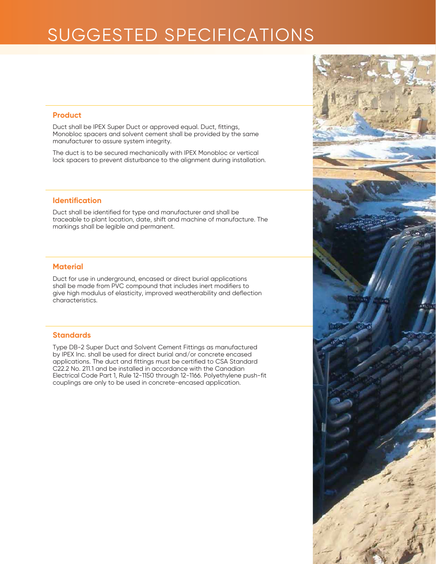# SUGGESTED SPECIFICATIONS

#### **Product**

Duct shall be IPEX Super Duct or approved equal. Duct, fittings, Monobloc spacers and solvent cement shall be provided by the same manufacturer to assure system integrity.

The duct is to be secured mechanically with IPEX Monobloc or vertical lock spacers to prevent disturbance to the alignment during installation.

# **Identification**

Duct shall be identified for type and manufacturer and shall be traceable to plant location, date, shift and machine of manufacture. The markings shall be legible and permanent.

# **Material**

Duct for use in underground, encased or direct burial applications shall be made from PVC compound that includes inert modifiers to give high modulus of elasticity, improved weatherability and deflection characteristics.

#### **Standards**

Type DB-2 Super Duct and Solvent Cement Fittings as manufactured by IPEX Inc. shall be used for direct burial and/or concrete encased applications. The duct and fittings must be certified to CSA Standard C22.2 No. 211.1 and be installed in accordance with the Canadian Electrical Code Part 1, Rule 12-1150 through 12-1166. Polyethylene push-fit couplings are only to be used in concrete-encased application.

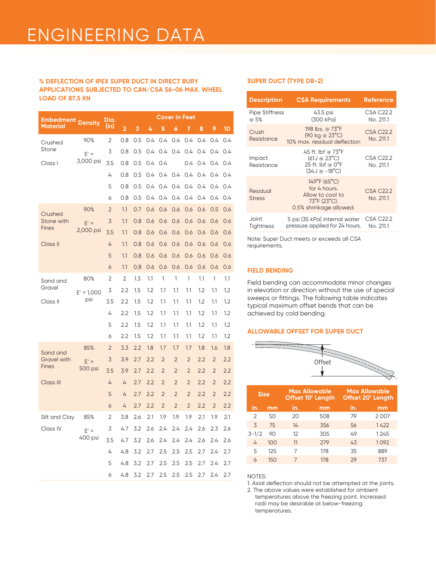# **% DEFLECTION OF IPEX SUPER DUCT IN DIRECT BURY SUPER DUCT (TYPE DB-2) APPLICATIONS SUBJECTED TO CAN/CSA S6-06 MAX. WHEEL LOAD OF 87.5 KN DESCRIPTION CONSUMING THE SERVICE OF A REFERENCE AND REFERENCE ASSESSMENT REFERENCE**

| Embedment          |                | Dia.           | <b>Cover in Feet</b>    |     |         |                |                |                |     |                |         |
|--------------------|----------------|----------------|-------------------------|-----|---------|----------------|----------------|----------------|-----|----------------|---------|
| Material           | <b>Density</b> | (in)           | $\overline{\mathbf{c}}$ | 3   | 4       | 5              | 6              | 7              | 8   | 9              | 10      |
| Crushed            | 90%            | 2              | 0.8                     | 0.5 | 0.4     | 0.4            | 0.4            | 0.4            | 0.4 | 0.4            | 0.4     |
| Stone              | $E' =$         | 3              | 0.8                     | 0.5 | 0.4     | 0.4            | 0.4            | 0.4            | 0.4 | 0.4            | 0.4     |
| Class I            | 3,000 psi      | 3.5            | 0.8                     | 0.5 | 0.4     | 0.4            |                | 0.4            | 0.4 | 0.4            | 0.4     |
|                    |                | 4              | 0.8                     | 0.5 | 0.4     | 0.4            | 0.4            | 0.4            | 0.4 | 0.4            | 0.4     |
|                    |                | 5              | 0.8                     | 0.5 | 0.4     | 0.4            | 0.4            | 0.4            | 0.4 | 0.4            | 0.4     |
|                    |                | 6              | 0.8                     | 0.5 | 0.4     | 0.4            | 0.4            | 0.4            | 0.4 | 0.4            | 0.4     |
| Crushed            | 90%            | $\overline{2}$ | 1.1                     | 0.7 | 0.6     | 0.6            | 0.6            | 0.6            | 0.6 | 0.5            | 0.6     |
| Stone with         | $E' =$         | 3              | 1.1                     | 0.8 | 0.6     | 0.6            | 0.6            | 0.6            | 0.6 | 0.6            | 0.6     |
| <b>Fines</b>       | 2,000 psi      | 3.5            | 1.1                     | 0.8 | 0.6     | 0.6            | 0.6            | 0.6            | 0.6 | 0.6            | 0.6     |
| Class II           |                | 4              | 1.1                     | 0.8 | 0.6     | 0.6            | 0.6            | 0.6            | 0.6 | 0.6            | 0.6     |
|                    |                | 5              | 1.1                     | 0.8 | 0.6     | 0.6            | 0.6            | 0.6            | 0.6 | 0.6            | 0.6     |
|                    |                | 6              | 1.1                     | 0.8 | 0.6     | 0.6            | 0.6            | 0.6            | 0.6 | 0.6            | 0.6     |
| Sand and           | 80%            | 2              | 2                       | 1.3 | 1.1     | 1              | 1              | 1              | 1.1 | 1              | 1.1     |
| Gravel             | $E' = 1,000$   | 3              | 2.2                     | 1.5 | 1.2     | 1.1            | 1.1            | 1.1            | 1.2 | 1.1            | 1.2     |
| Class II           | psi            | 3.5            | 2.2                     | 1.5 | $1.2\,$ | 1.1            | 1.1            | 1.1            | 1.2 | 1.1            | 1.2     |
|                    |                | 4              | 2.2                     | 1.5 | 1.2     | 1.1            | 1.1            | 1.1            | 1.2 | 1.1            | 1.2     |
|                    |                | 5              | 2.2                     | 1.5 | 1.2     | 1.1            | 1.1            | 1.1            | 1.2 | 1.1            | $1.2\,$ |
|                    |                | 6              | 2.2                     | 1.5 | 1.2     | 1.1            | 1.1            | 1.1            | 1.2 | 1.1            | 1.2     |
| Sand and           | 85%            | $\overline{2}$ | 3.3                     | 2.2 | 1.8     | 1.7            | 1.7            | 1.7            | 1.8 | 1.6            | 1.8     |
| <b>Gravel with</b> | $E' =$         | 3              | 3.9                     | 2.7 | 2.2     | $\overline{2}$ | $\overline{2}$ | $\overline{2}$ | 2.2 | $\overline{2}$ | 2.2     |
| <b>Fines</b>       | 500 psi        | 3.5            | 3.9                     | 2.7 | 2.2     | $\overline{2}$ | $\overline{2}$ | $\overline{2}$ | 2.2 | $\overline{2}$ | 2.2     |
| <b>Class III</b>   |                | 4              | 4                       | 2.7 | 2.2     | $\overline{2}$ | $\overline{2}$ | $\overline{2}$ | 2.2 | $\overline{2}$ | 2.2     |
|                    |                | 5              | 4                       | 2.7 | 2.2     | $\overline{2}$ | $\overline{2}$ | $\overline{2}$ | 2.2 | $\overline{2}$ | 2.2     |
|                    |                | 6              | 4                       | 2.7 | 2.2     | $\overline{2}$ | $\overline{2}$ | $\overline{2}$ | 2.2 | $\overline{2}$ | 2.2     |
| Silt and Clay      | 85%            | 2              | 3.8                     | 2.6 | 2.1     | 1.9            | 1.9            | 1.9            | 2.1 | 1.9            | 2.1     |
| Class IV           | $E' =$         | 3              | 4.7                     | 3.2 | 2.6     | 2.4            | 2.4            | 2.4            | 2.6 | 2.3            | 2.6     |
|                    | 400 psi        | 3.5            | 4.7                     | 3.2 | 2.6     | 2.4            | 2.4            | 2.4            | 2.6 | 2.4            | 2.6     |
|                    |                | 4              | 4.8                     | 3.2 | 2.7     | 2.5            | 2.5            | 2.5            | 2.7 | 2.4            | 2.7     |
|                    |                | 5              | 4.8                     | 3.2 | 2.7     | 2.5            | 2.5            | 2.5            | 2.7 | 2.4            | 2.7     |
|                    |                | 6              | 4.8                     | 3.2 | 2.7     | 2.5            | 2.5            | 2.5            | 2.7 | 2.4            | 2.7     |

| <b>Description</b>            | <b>CSA Requirements</b>                                                                                                         | <b>Reference</b>              |
|-------------------------------|---------------------------------------------------------------------------------------------------------------------------------|-------------------------------|
| <b>Pipe Stiffness</b><br>@ 5% | 43.5 psi<br>(300 kPa)                                                                                                           | CSA C22.2<br>No. 211.1        |
| Crush<br>Resistance           | 198 lbs. @ 73°F<br>$(90 \text{ kg} \circ 23^{\circ} \text{C})$<br>10% max. residual deflection                                  | <b>CSA C22.2</b><br>No. 211.1 |
| Impact<br>Resistance          | 45 ft. lbf @ 73°F<br>$(61J)$ @ 23 $^{\circ}$ C)<br>25 ft. lbf $\circledcirc$ 0°F<br>(34J @ -18°C)                               | CSA C22.2<br>No. 211.1        |
| Residual<br><b>Stress</b>     | $149^{\circ}F(65^{\circ}C)$<br>for 4 hours.<br>Allow to cool to<br>$73^{\circ}$ F (23 $^{\circ}$ C).<br>0.5% shrinkage allowed. | <b>CSA C22.2</b><br>No. 211.1 |
| Joint<br><b>Tightness</b>     | 5 psi (35 kPa) internal water<br>pressure applied for 24 hours.                                                                 | CSA C22.2<br>No. 211.1        |

Note: Super Duct meets or exceeds all CSA requirements.

#### **FIELD BENDING**

Field bending can accommodate minor changes in elevation or direction without the use of special sweeps or fittings. The following table indicates typical maximum offset bends that can be achieved by cold bending.

#### **ALLOWABLE OFFSET FOR SUPER DUCT**



| <b>Size</b>   |     | <b>Max Allowable</b><br><b>Offset 10' Length</b> |     |     | <b>Max Allowable</b><br><b>Offset 20' Length</b> |
|---------------|-----|--------------------------------------------------|-----|-----|--------------------------------------------------|
| in.           | mm  | in.                                              | mm  | in. | mm                                               |
| $\mathcal{P}$ | 50  | 20                                               | 508 | 79  | 2007                                             |
| 3             | 75  | 14                                               | 356 | 56  | 1422                                             |
| $3 - 1/2$     | 90  | 12                                               | 305 | 49  | 1245                                             |
| 4             | 100 | 11                                               | 279 | 4.3 | 1092                                             |
| 5             | 125 | 7                                                | 178 | 35  | 889                                              |
| 6             | 150 | 7                                                | 178 | 29  | 737                                              |
|               |     |                                                  |     |     |                                                  |

#### NOTES:

1. Axial deflection should not be attempted at the joints.

2. The above values were established for ambient temperatures above the freezing point. Increased radii may be desirable at below-freezing temperatures.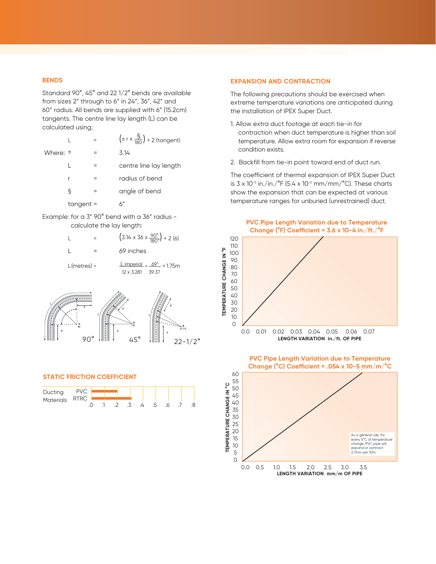#### **BENDS**

Standard 90°, 45° and 22 1/2° bends are available from sizes 2" through to 6" in 24", 36", 42" and 60" radius. All bends are supplied with 6" (15.2cm) tangents. The centre line lay length (L) can be calculated using;

|              |             | $\left(\pi \rceil x \frac{\S}{180}\right) + 2$ (tangent) |
|--------------|-------------|----------------------------------------------------------|
| Where: $\pi$ |             | 3.14                                                     |
|              |             | centre line lay length                                   |
|              |             | radius of bend                                           |
|              | ξ           | angle of bend                                            |
|              | $tangent =$ |                                                          |

Example: for a 3" 90° bend with a 36" radius calculate the lay length:

|                | $(3.14 \times 36 \times \frac{90^{\circ}}{180^{\circ}}) + 2(6)$   |
|----------------|-------------------------------------------------------------------|
|                | 69 inches                                                         |
| $L$ (metres) = | $L$ imperial = $69^{\circ}$ = 1.75m<br>$12 \times 3.281$<br>39.37 |
|                |                                                                   |



#### **STATIC FRICTION COEFFICIENT**



#### **EXPANSION AND CONTRACTION**

The following precautions should be exercised when extreme temperature variations are anticipated during the installation of IPEX Super Duct.

- 1. Allow extra duct footage at each tie-in for contraction when duct temperature is higher than soil temperature. Allow extra room for expansion if reverse condition exists.
- 2. Backfill from tie-in point toward end of duct run.

The coefficient of thermal expansion of IPEX Super Duct is  $3 \times 10^{-5}$  in./in./°F (5.4 x 10<sup>-5</sup> mm/mm/°C). These charts show the expansion that can be expected at various temperature ranges for unburied (unrestrained) duct.





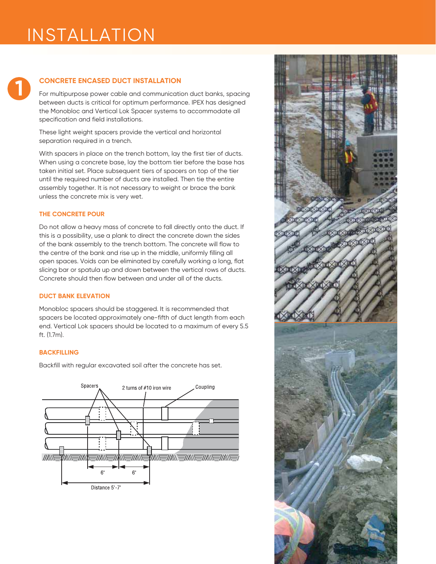# INSTALLATION

# **1**

# **CONCRETE ENCASED DUCT INSTALLATION**

For multipurpose power cable and communication duct banks, spacing between ducts is critical for optimum performance. IPEX has designed the Monobloc and Vertical Lok Spacer systems to accommodate all specification and field installations.

These light weight spacers provide the vertical and horizontal separation required in a trench.

With spacers in place on the trench bottom, lay the first tier of ducts. When using a concrete base, lay the bottom tier before the base has taken initial set. Place subsequent tiers of spacers on top of the tier until the required number of ducts are installed. Then tie the entire assembly together. It is not necessary to weight or brace the bank unless the concrete mix is very wet.

### **THE CONCRETE POUR**

Do not allow a heavy mass of concrete to fall directly onto the duct. If this is a possibility, use a plank to direct the concrete down the sides of the bank assembly to the trench bottom. The concrete will flow to the centre of the bank and rise up in the middle, uniformly filling all open spaces. Voids can be eliminated by carefully working a long, flat slicing bar or spatula up and down between the vertical rows of ducts. Concrete should then flow between and under all of the ducts.

#### **DUCT BANK ELEVATION**

Monobloc spacers should be staggered. It is recommended that spacers be located approximately one-fifth of duct length from each end. Vertical Lok spacers should be located to a maximum of every 5.5 ft. (1.7m).

# **BACKFILLING**

Backfill with regular excavated soil after the concrete has set.



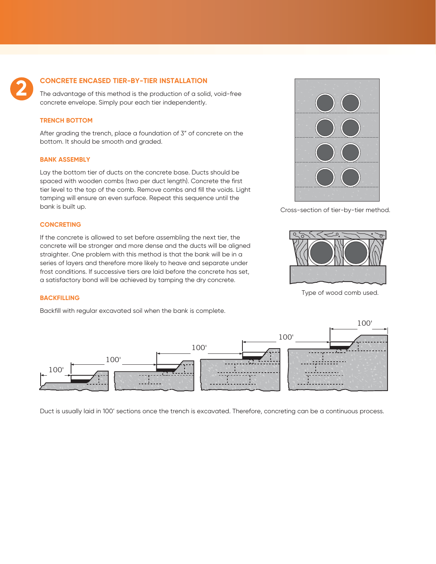

#### **CONCRETE ENCASED TIER-BY-TIER INSTALLATION**

The advantage of this method is the production of a solid, void-free concrete envelope. Simply pour each tier independently.

#### **TRENCH BOTTOM**

After grading the trench, place a foundation of 3" of concrete on the bottom. It should be smooth and graded.

#### **BANK ASSEMBLY**

Lay the bottom tier of ducts on the concrete base. Ducts should be spaced with wooden combs (two per duct length). Concrete the first tier level to the top of the comb. Remove combs and fill the voids. Light tamping will ensure an even surface. Repeat this sequence until the bank is built up.

#### **CONCRETING**

If the concrete is allowed to set before assembling the next tier, the concrete will be stronger and more dense and the ducts will be aligned straighter. One problem with this method is that the bank will be in a series of layers and therefore more likely to heave and separate under frost conditions. If successive tiers are laid before the concrete has set, a satisfactory bond will be achieved by tamping the dry concrete.



Cross-section of tier-by-tier method.



Type of wood comb used.

#### **BACKFILLING**

Backfill with regular excavated soil when the bank is complete.



Duct is usually laid in 100' sections once the trench is excavated. Therefore, concreting can be a continuous process.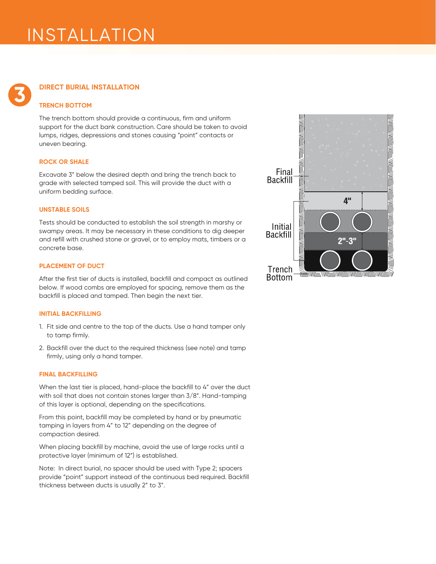# INSTALLATION

# **DIRECT BURIAL INSTALLATION**

### **TRENCH BOTTOM**

**3**

The trench bottom should provide a continuous, firm and uniform support for the duct bank construction. Care should be taken to avoid lumps, ridges, depressions and stones causing "point" contacts or uneven bearing.

#### **ROCK OR SHALE**

Excavate 3" below the desired depth and bring the trench back to grade with selected tamped soil. This will provide the duct with a uniform bedding surface.

#### **UNSTABLE SOILS**

Tests should be conducted to establish the soil strength in marshy or swampy areas. It may be necessary in these conditions to dig deeper and refill with crushed stone or gravel, or to employ mats, timbers or a concrete base.

#### **PLACEMENT OF DUCT**

After the first tier of ducts is installed, backfill and compact as outlined below. If wood combs are employed for spacing, remove them as the backfill is placed and tamped. Then begin the next tier.

#### **INITIAL BACKFILLING**

- 1. Fit side and centre to the top of the ducts. Use a hand tamper only to tamp firmly.
- 2. Backfill over the duct to the required thickness (see note) and tamp firmly, using only a hand tamper.

#### **FINAL BACKFILLING**

When the last tier is placed, hand-place the backfill to 4" over the duct with soil that does not contain stones larger than 3/8". Hand-tamping of this layer is optional, depending on the specifications.

From this point, backfill may be completed by hand or by pneumatic tamping in layers from 4" to 12" depending on the degree of compaction desired.

When placing backfill by machine, avoid the use of large rocks until a protective layer (minimum of 12") is established.

Note: In direct burial, no spacer should be used with Type 2; spacers provide "point" support instead of the continuous bed required. Backfill thickness between ducts is usually 2" to 3".

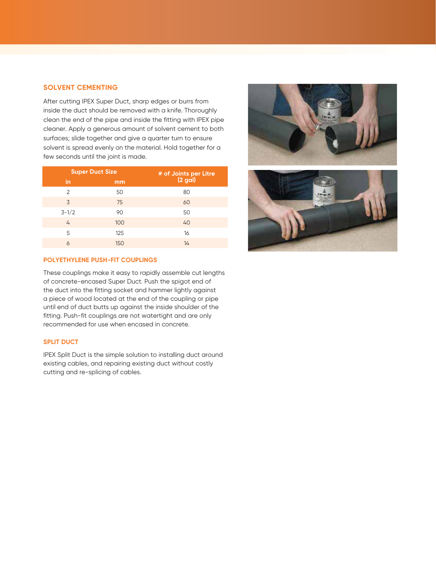### **SOLVENT CEMENTING**

After cutting IPEX Super Duct, sharp edges or burrs from inside the duct should be removed with a knife. Thoroughly clean the end of the pipe and inside the fitting with IPEX pipe cleaner. Apply a generous amount of solvent cement to both surfaces; slide together and give a quarter turn to ensure solvent is spread evenly on the material. Hold together for a few seconds until the joint is made.

| <b>Super Duct Size</b> |     | # of Joints per Litre<br>(2 gal) |
|------------------------|-----|----------------------------------|
| in                     | mm  |                                  |
| $\mathfrak{D}$         | 50  | 80                               |
| 3                      | 75  | 60                               |
| $3 - 1/2$              | 90  | 50                               |
| $\overline{4}$         | 100 | 40                               |
| 5                      | 125 | 16                               |
| 6                      | 150 | 14                               |

### **POLYETHYLENE PUSH-FIT COUPLINGS**

These couplings make it easy to rapidly assemble cut lengths of concrete-encased Super Duct. Push the spigot end of the duct into the fitting socket and hammer lightly against a piece of wood located at the end of the coupling or pipe until end of duct butts up against the inside shoulder of the fitting. Push-fit couplings are not watertight and are only recommended for use when encased in concrete.

# **SPLIT DUCT**

IPEX Split Duct is the simple solution to installing duct around existing cables, and repairing existing duct without costly cutting and re-splicing of cables.